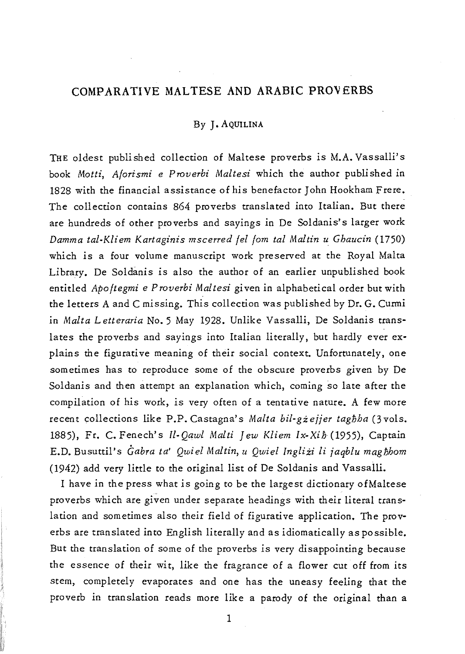# COMPARATIVE MALTESE AND ARABIC PROVERBS

# By J. AQUILINA

THE oldest published collection of Maltese proverbs is M.A. Vassalli's book *Motti, Aforismi* e *Proverbi Maltesi* which the author published in 1828 with the financial assistance of *his* benefactor John Hookham Frere. The collection contains 864 proverbs translated into Italian. But there are hundreds of other proverbs and sayings in De Soldanis's larger work *Damma tal-Kliem Kartaginis mscerred fel fom tal Maltin u Ghaucin (1750)*  which *is* a four volume manuscript work preserved at the Royal Malta Library. De Soldanis *is* also the author of an earlier unpublished book entitled *Apo ftegmi* e P *roverbi Maltesi gi* ven in alphabetical order but with the letters A and C missing. This collection was published by Dr. G. Curmi in *Malta* L *etteraria* No. 5 May 1928. Unlike Vassalli, De Soldanis translates the proverbs and sayings into Italian literally, but hardly ever explains the figurative meaning of their social context. Unfortunately, one sometimes has to reproduce some of the obscure proverbs given by De Soldanis and then attempt an explanation which, coming so late after the compilation of *his* work, *is* very often of a tentative nature. A few more recent collections like P.P. Castagna's *Malta bil-gżejjer taghha* (3 vols. 1885), Fr. C.Fenech's *ll-Qawl Malti Jew Kliem Ix-Xih(1955),* Captain E.D. Busuttil's *Gabra ta' Qwiel Maltin, u Qwiel Inglizi li jaqblu maghhom*  (1942) add very little to the original list of De Soldanis and Vassalli.

I have in the press what *is* going to be the largest dictionary of Maltese proverbs which are given under separate headings with their literal translation and sometimes also their field of figurative application. The proverbs are translated into English literally and as idiomatically as possible. But the translation of some of the proverbs *is* very disappointing because the essence of their wit, like the fragrance of a flower cut off from *its*  stem, completely evaporates and one has the uneasy feeling that the proverb in translation reads more like a parody of the original than a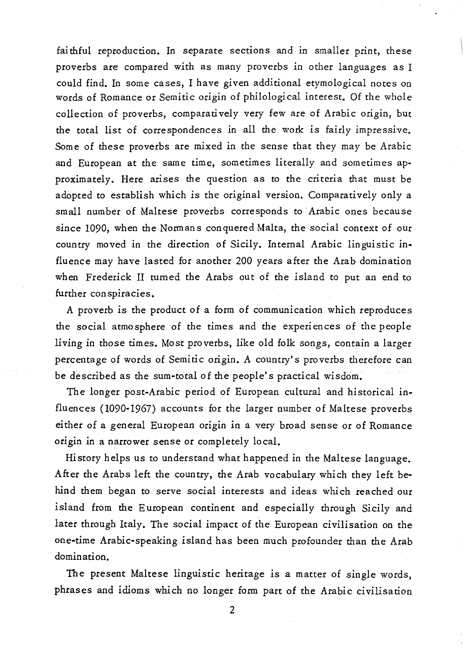fai thful reproduction. In separate sections and *in* smaller *print,* these proverbs are compared *with* as many proverbs *in* other languages as I could find. In some cases, I have given additional etymological notes on words of Romance or Semitic *origin* of philological interest. Of the whole collection of proverbs, comparatively very few are of Arabic *origin,* but the total *list* of correspondences *in* all the work *is* fairly impressive. Some of these proverbs are mixed *in* the sense that they may be Arabic and European at the same time, sometimes literally and sometimes approximately. Here arises the question as to the criteria that must be adopted to establish which is the *original* version. Comparatively only a small number of Maltese proverbs corresponds to Arabic ones because since 1090, when the Normans conquered Malta, the social context of our country moved in the direction of Sicily. Internal *Arabic linguistic in*fluence may have lasted for another 200 years after the Arab domination when Frederick II turned the Arabs out of the island to put an end to further conspiracies.

A proverb *is* the product of a form of communication which reproduces the social atmosphere of the times and the experiences of the people living in those times. Most proverbs, like old folk songs, contain a larger percentage of words of Semitic origin. A country's proverbs therefore can be described as the sum-total of the people's practical wisdom.

The longer post-Arabic period of European cultural and historical influences (1090-1967) accounts for the larger number of Maltese proverbs either of a general European origin in a very broad sense or of Romance origin in a narrower sense or completely local.

History helps us to understand what happened in the Maltese language. After the Arabs left the country, the Arab vocabulary which they left behind them began to serve social interests and ideas which reached our island from the European continent and especially through Sicily and later through Italy. The social impact of the European civilisation on the one-time Arabic-speaking island has been much profounder than the Arab domination.

The present Maltese linguistic heritage is a matter of single words, phrases and idioms which no longer form part of the Arabic civilisation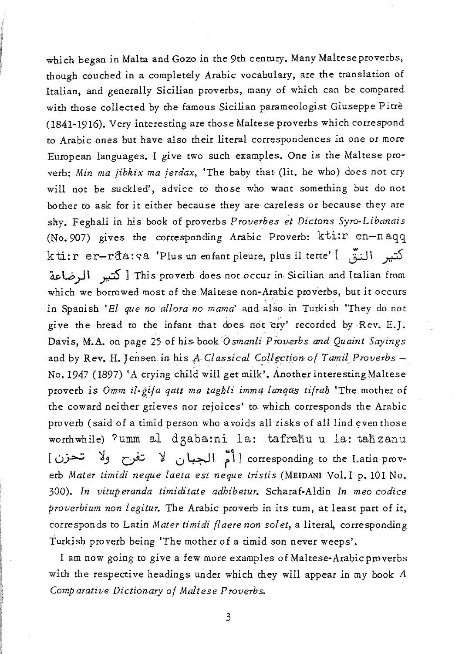which began in Malta and Gozo in the 9th century. Many Maltese proverbs, though couched in a completely Arabic vocabulary, are the translation of Italian, and generally Sicilian proverbs, many of which can be compared with those collected by the famous Sicilian parameologist Giuseppe P irre (1841-1916). Very interesting are those Maltese proverbs which correspond to Arabic ones but have also their literal correspondences in one or more European languages. I give two such examples. One is the Maltese proverb: *Min ma jibkix ma jerdax,* 'The baby that (lit. he who) does not cry will not be suckled', advice to those who want something but do not bother to ask for it either because they are careless or because they are shy. Feghali in his book of proverbs *Provetbes et Dictons Syro-Libanais*  (No. 907) gives the corresponding Arabic Proverb: kti:r en-naqq kti: r er-rđa: <a 'Plus un enfant pleure, plus il tette' [  $\zeta$ اندة This proverb does not occur in Sicilian and Italian from [كتيبر الرضاعة which we borrowed most of the Maltese non-Arabic proverbs, but it occurs in Spanish 'El que no allora no mama' and also in Turkish 'They do not give the bread to the infant that does not cry' recorded by Rev. E.]. Davis, M.A. on page 25 of his book *'Osmanli Proverbs and Quaint Sayings*  and by Rev. H. Jensen in his *A-Classical Collection of Tamil Proverbs* - No. 1947 (1897) 'A crying child will get milk'. Another interesting Maltese proverb is *Omm il-gija qatt ma taglili imm4 /anqas ti/rali* 'The mother of the coward neither grieves nor rejoices' to which corresponds the Arabic proverb (said of a *timid* person who avoids all risks of alllind even those worthwhile) ?umm al dzaba:ni la: tafrañu u la: tañzanu -corresponding to the Latin prov- [أمّ الجبان لا تفرح ولا تحزن] erb *Mater timidi neque laeta est neque tristis* (MEIDANI Vol. I p. 101 No. *300). In vituperanda timiditate adhibetur.* Scharaf-Aldin *In meo codice proverbium non legitur*. The Arabic proverb in its tum, at least part of it, corresponds to Latin *Mater timidi flaere non solet*, a literal, corresponding Turkish proverb being 'The mother of a timid son never weeps'.

I am now going to give a few more examples of Maltese-Arabic proverbs with the respective headings under which they will appear in my book *A Comparative Dictionary* 0/ *Maltese Proverbs.*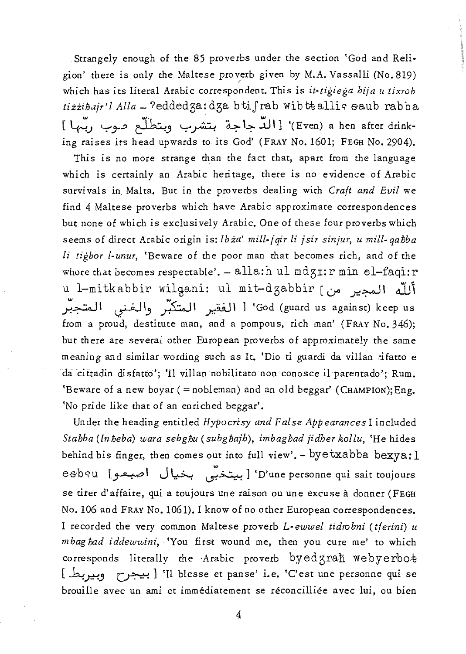Strangely enough of the 85 proverbs under the section 'God and Religion' there is only the Maltese proverb given by M.A. Vassalli (No. 819) which has its literal Arabic correspondent. This is *it-tigiega hija u tixrob*  tizzibajr'l Alla - ?eddedza: dza btifrab wibttallic saub rabba [~) *'-:'r:>* ~" '-:' ~ d.:;-- **'-:-** <sup>~</sup>\] '( Even) a hen after drinking raises its head upwards to its God' (FRAY No. 1601; FEGH No. 2904).

This is no more strange than the fact that, apart from the language which is certainly an Arabic heritage, there is no evidence of Arabic survi vals in. Malta. But in the proverbs dealing with *Craft and Evil* we find 4 Maltese proverbs which have Arabic approximate correspondences but none of which is exclusively Arabic. One of these four proverbs which seems of direct Arabic origin is: *Ibia' mill-fqir Ii jsir sinjur, u mill-qahba li tigbor I-unur,* 'Beware of the poor man that becomes rich, and of the whore that becomes respectable'. - alla:h ul mdgI: r min el-faqi: r u l-mitkabbir wilgani: ul mit-dzabbir [محير من] God (guard us against) keep us' [ الفقير المتكبَّر والغنبى المتجبَّر from a proud, destitute man, and a pompous, rich man' (FRAY No. 346); but there are several other European proverbs of approximately the same meaning and similar wording such as It. 'Dio ti guardi da villan *ifatto* e da cittadin disfatto'; 'Il villan nobilitato non conosce il parentado'; Rum. 'Beware of a new boyar (= nobleman) and an old beggar' (CHAMPION); Eng. 'No pride like that of an enriched beggar'.

Under the heading entitled *Hypocrisy and False Appearances* I included *Stahba (lnheba) u,ara sebghu (subghajh), imbaghad jidher kollu,* 'He hides behind his finger, then comes out into full view'. - byetxabba bexya:  $l$ esbsu [صبعو 'D'une personne qui sait toujours' إبيتخبّى بخيال اصبعوا se tirer d'affaire, qui a toujours une raison ou une excuse a donner (FEGH No. 106 and FRAY No. 1061). I know of no other European correspondences. I recorded the very common Maltese proverb *L-ewwel tidrobni (tferini) u mbag had iddewuini*, 'You first wound me, then you cure me' to which corresponds literally the Arabic proverb byedgrah webyerbot [~p." ~] 'U blesse et panse' i.e. 'C'est une personne qui se brouille avec un ami et immediatement se reconcilliee avec *lui,* ou *bien*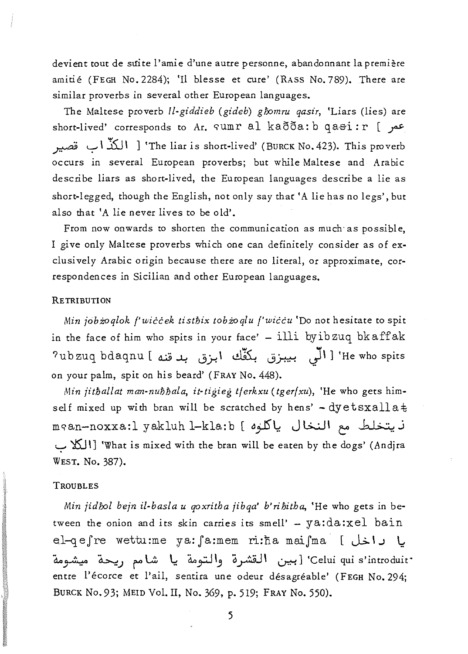devient tout de suite l'amie d'une autre personne, abandonnant la première amitie (FEGH No. 2284); 'll blesse et cure' (RASS No. 789). There are similar proverbs in several other European languages.

The Maltese proverb *ll-giddieb (gideb) ghomru qasir,* 'Liars (lies) are short-lived' corresponds to Ar.  $\text{sum } r \text{ a} \lambda$  ka $\delta \delta a : b \text{ q} a \text{ s} i : r$  [ . $\sigma$ ~ '-7' \ .35J \ ] 'The liar is short-lived' (BURCK No. 423). This proverb occurs in several European proverbs; but while Maltese and Arabic describe liars as short-lived, the European languages describe a lie as short-legged, though the English, not only say that 'A lie has no legs', but also that 'A lie never lives to be old'.

From now onwards to shorten the communication as much' as possible, I give only Maltese proverbs which one can definitely consider as of exclusively Arabic origin because there are no literal, or approximate, correspondences in Sicilian and other European languages.

# **RETRIBUTION**

*Min jobzoqlok f'wiccek tisthix tobzoqlu f'wiccu* 'Do not hesitate to spit in the face of him who spits in your face' - illi byibzuq bkaffak He who spits [ الَّى بيبزق بكفِّك ابزق بدقنه ] ubzuq bdaqnu? on your palm, spit on his beard' (FRAY No. 448).

*Min jitfjallat man-nufjfjala, it-tigieg tferkxu (tgerfxu),* 'He who gets himself mixed up with bran will be scratched by hens' - dyetsxallat ن يتخلط مع النخال ياكلوه ] mean-noxxa:l yakluh l-kla:b 'What is mixed with the bran will be eaten by the dogs' (Andjra) [الكلاب WEST. No. 387).

### TROUBLES

*Min jidhol bejn il-basla u qoxritha jibqa' b'rifjitha,* 'He who gets in between the onion and its skin carries its smell' -  $ya:da:xd$  bain el-q e fre wettu:me ya: fa:mem ri:ha maifma [ إيا داخل ] `Celui qui s'introduit' [بين القشرة والتومة يا شامم ريحة ميشومة entre l'écorce et l'ail, sentira une odeur désagréable' (FEGH No. 294; BURCK No.93; MElD Vol. lI, No. 369, p. 519; FRAY No. 550).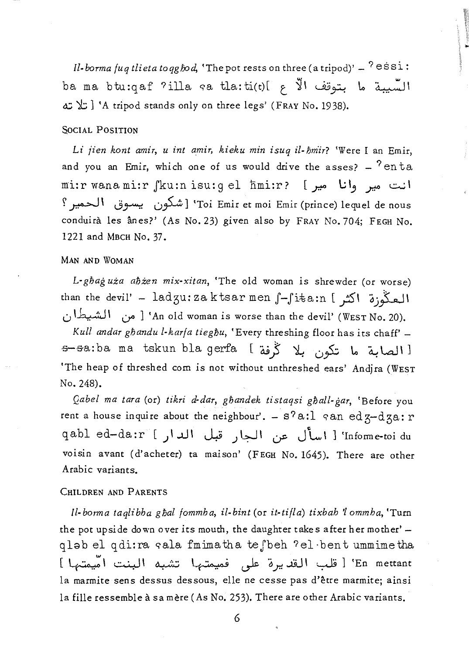*Il-borma fuq tlieta toqg fod*, 'The pot rests on three (a tripod)'  $-$  <sup>?</sup> eSS1: ba ma btu:qaf ?illa qa tla:ti(t)[ t ~\ u.;;~ \.0 ~\ d; 't; 1 'A tripod stands only on three legs' (FRAY No. 1938).

## SOCIAL POSITION

Li *jien kont amir, u int amir, kieku min isuq il-hmir?* 'Were I an Emir, and you an Emir, which one of us would drive the asses?  $-$  <sup>?</sup> en ta mi:rwanami:rJku:nisu:gel nmi:r? [r. **\.;\.,** *r....::.....;\*  ? ~ I 0~ 0~ 1 'Toi Emir et moi Emir (prince) lequel de nous conduirà les ânes?' (As No. 23) given also by FRAY No. 704; FEGH No. 1221 and MBCH No. 37.

### MAN AND WOMAN

L· *gliag uza alizen mix·xitan,* 'The old woman is shrewder (or worse) than the devil' - ladzu: za ktsar men  $\int -\int i \tan i$  led o \~\ 0'" 1 'An old woman *is* worse than the devil' (WEST No. 20).

Kull andar ghandu l-karfa tieghu, 'Every threshing floor has its chaff' --s-sa:ba ma tskun bla gerfa [~} ~ 0~ 1.0 ~La..l\ 1 'The heap of threshed corn *is* not without unthreshed ears' Andjra (WEST No. 248).

*Qabel ma tara* (or) *tikri d·dar, gliandek tistaqsi gliall.gar,* 'Before you rent a house inquire about the neighbour'. -  $s^2a$ :  $i$  an edz-dza: r qabl ed-da:r [ )اسأل عن الجار قبل الدار ] "qabl ed-da:r voisin avant (d'acheter) ta maison' (FEGH No. 1645). There are other Arabic variants.

## CHILDREN AND PARENTS

*Jl·borma taqlibha glial fommha, if·bint* (or *it·tifla) tixbah '1 ommha,* 'Turn the pot upside down over *its* mouth, the daughter takes after her mother' qlab el qdi:ra qala fmimatha te jbeh ?el·bent ummimetha En mettant ! قلب القديرة على فميمتها تشبه البنت امّيمتها ] la marmite sens dessus dessous, elle ne cesse pas d'être marmite; ainsi la fille ressemble à sa mère (As No. 253). There are other Arabic variants.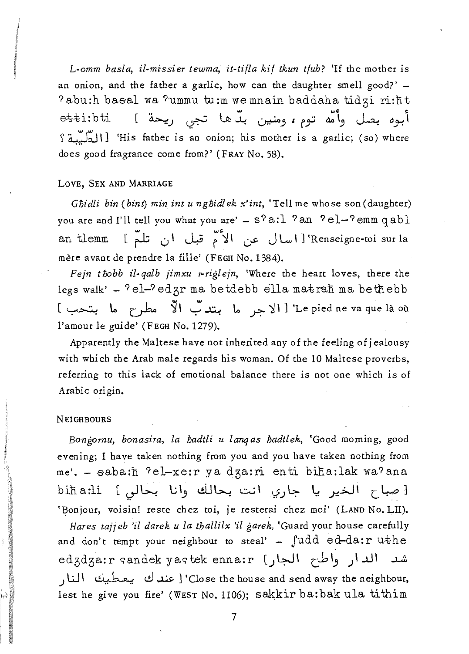L-omm basla, il-missier tewma, it-tifla kif tkun tfub? 'If the mother is an onion, and the father a garlic, how can the daughter smell good?' -?abu:h basal wa ?ummu tu:m wemnain baddaha tidzi ri:ht أبوه بصل وأمَّه توم، ومنين بدَّها تجي ريحة ] etti:bti His father is an onion; his mother is a garlic; (so) where 'is a garlic; (so) where does good fragrance come from?' (FRAY No. 58).

### LOVE, SEX AND MARRIAGE

Ghidli bin (bint) min int u nghidlek x'int, 'Tell me whose son (daughter) you are and I'll tell you what you are' - s?a:l ?an ?el-?emm qabl Renseigne-toi sur la اسال عن الأُمّ قبل أن تلمّ ] an tlemm mère avant de prendre la fille' (FEGH No. 1384).

Fejn thobb il-galb jimxu r-riglejn, 'Where the heart loves, there the legs walk' - 'el-'edgr ma betdebb ella matrañ ma bethebb Le pied ne va que là où" [ الاجر ما بتدبّ الاّ مطرح ما بتحب ] l'amour le guide' (FEGH No. 1279).

Apparently the Maltese have not inherited any of the feeling of jealousy with which the Arab male regards his woman. Of the 10 Maltese proverbs. referring to this lack of emotional balance there is not one which is of Arabic origin.

#### **NEIGHBOURS**

Bongornu, bonasira, la hadtli u langas hadtlek, 'Good morning, good evening; I have taken nothing from you and you have taken nothing from me'. - saba:h 'el-xe:r ya dza:ri enti biha:lak wa'ana [صباح الخير يا جاري انت بحالك وانا بحالي ] bih a:li 'Bonjour, voisin! reste chez toi, je resterai chez moi' (LAND No. LII).

Hares tajjeb 'il darek u la thallilx 'il garek, 'Guard your house carefully and don't tempt your neighbour to steal' - fudd ed-da:r uthe شد الدار واطح الجار) edzdza:r sandek yastek enna:r Close the house and send away the neighbour, [ عند ك يعطيك النار lest he give you fire' (WEST No. 1106); sakkir ba:bak ula tithim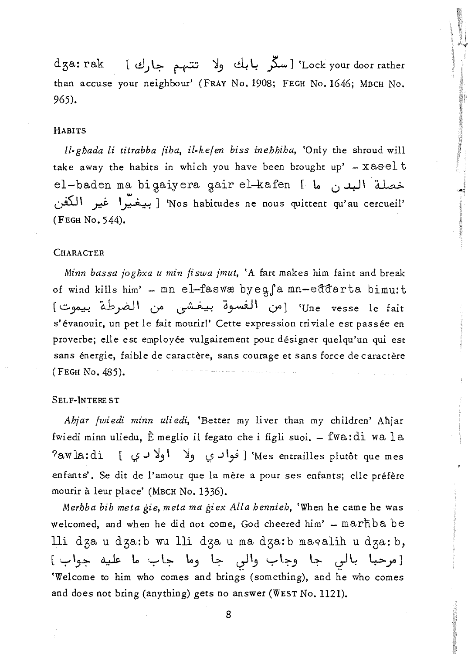d3a : rak ( t!l) 4- ~ ~3 ~ ~ ~) 'Lock your door rather than accuse your neighbour' (FRAY No. 1908; FEGH No. 1646; MBCH No. 965).

#### HABITS

*/l-ghada li titrabba fiha, il-kefen biss inehhiha,* 'Only the shroud will take away the habits in which you have been brought up' -  $x$ asel t el-baden ma bigaiyera gair el-kafen [ من ما ~ \ *y::i:-* \~) 'Nos habitudes ne nous quittent qu'au cercueil' (FEGH No. 544).

### **CHARACTER**

*Minn bassa joghxa u min fiswa jmut,* 'A fart makes him faint and break of wind kills him' - mn el-faswæ byeg fa mn-eddarta bimu:t Une vesse le fait<sup>)</sup> [من الفسوة بيفشى من الضرطة بيموت] s'évanouir, un pet le fait mourir!' Cette expression triviale est passée en proverbe; e1le est employee vulgairement pour designer quelqu'un *qui* est sans énergie, faible de caractère, sans courage et sans force de caractère (FEGH No. 485).

### SELF-INTERE ST

*Ahjar fwiedi minn uliedi,* 'Better my liver than my children' Ahjar fwiedi minn uliedu, E meglio il fegato che *i* figli *suoi.* - fwa: di wa 1 a ?aw la: di (t,? J ~3 \ ~3 Y J \~ ) 'Mes entrailles plutot que mes enfants'. Se dit de l'amour que la mère a pour ses enfants; elle préfère mourir a leur place' (MBCH No. 1336).

*Merhba bih meta gie, meta ma giex Alla hennieh,* 'When he came he was welcomed, and when he did not come, God cheered him' - marhba be lli dza u dza:b wu lli dza u ma dza:b macalih u dza:b, [مرحباً بالي جا وجاب والي جا وما جاب ما عليه جواب] 'Welcome to him who comes and brings (something), and he who comes and does not bring (anything) gets no answer (WEST No. 1121).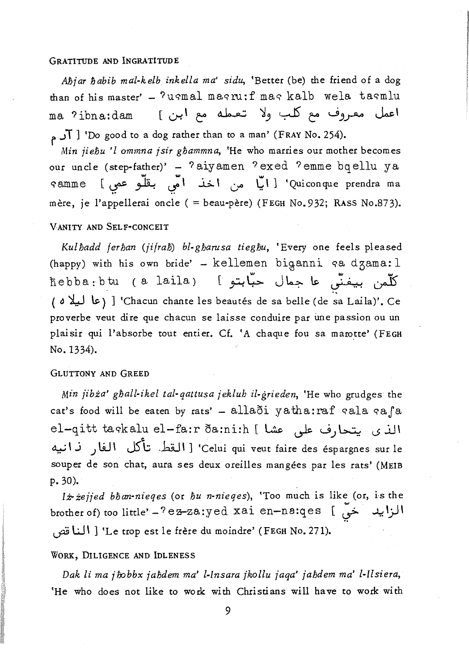#### GRATITUDE AND INGRATITUDE

*Abjar habib mal-kelb inkella ma' sidu*, 'Better (be) the friend of a dog than of his master' - ?usmal magru:f mag kalb wela tasmlu ma ?ibna:dam [ اعمل معروف مع كلب ولا تعمله مع ابن ]  $\mathcal{T}$  ) 'Do good to a dog rather than to a man' (FRAY No. 254).

*Min jiebu 'I ommna jsir gbammna,* 'He who marries our mother becomes our uncle (step-father)' - ? aiyamen ? exed ? emme bq ellu ya qamme [~;h! ';1 ..i>.1 G"" LI 1 'Quiconque prendra ma mère, je l'appellerai oncle ( = beau-père) (FEGH No. 932; RASS No. 873).

# V ANITY AND SELF-CONCEIT

*Kulbadd ferban (jifrab) bl-gbarusa tiegbu,* 'Every one feels pleased (happy) with his own bride' - kellemen biganni qa dzama: 1 nebba:btu (a laila) [ التو عا جمال حبّابتو ] ( a ~ ~) 1 'Chacun chante les beautes de sa belle (de ~a Laila)'. Ce proverbe veut dire que chacun se laisse conduire par ime passion ou un plaisir qui l'absorbe tout entier. Cf. 'A chaque fou sa marotte' (FEGH No. 1334).

## GLUTTONY AND GREED

*Min jibża' ghall-ikel tal-qattusa jeklub il-grieden*, 'He who grudges the cat's food will be eaten by rats' - allaði yatha:raf qala qafa el-qitt taqkalu el-fa:r ða:ni:h [ يتحارف على عشا Celui qui veut faire des éspargnes sur le' [ القط تأكل الفار نـانيه souper de son chat, aura ses deux oreilles mangées par les rats' (MEIB p.30).

*lz.iejjed bban-nieqes* (or *bu n-nieqes),* 'Too much is like (or, is the brother of) too little' - ? ez-za:yed xai en-na:qes [ص الزايد خيّ tJi3 UI 1 'Le trop est le frere du moindre' (FEGH No. 271).

#### WORK, DILIGENCE AND IDLENESS

*Dak* li *ma jfx;bbx jabdem ma' [-lnsara jkollu jaqa' jabdem ma' Z-lZsiera,*  'He who does not like to work with Christians will have to work with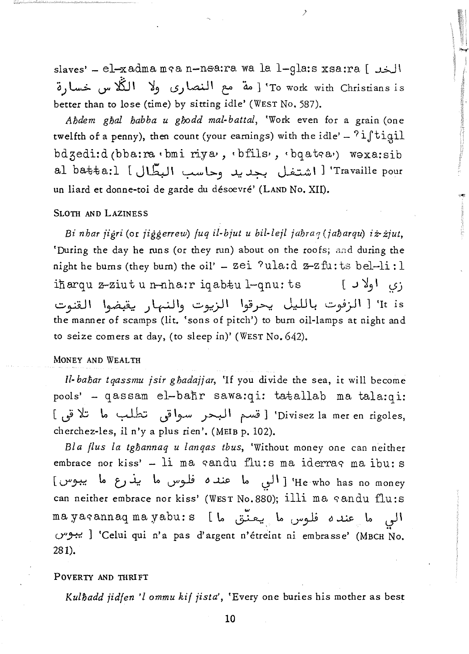slaves' - el-xadma mga n-nsa:ra wa la l-gla:s xsa:ra [ الخدل To work with Christians is' [مة مع النصارى ولا الكُّلاس خسا,ة better than to lose (time) by sitting idle' (WEST No. 587).

 $\lambda$ 

Abdem ghal babba u ghodd mal-battal, 'Work even for a grain (one twelfth of a penny), then count (your earnings) with the idle' -  $?$ iftigil bdzedi:d(bba:ra · bmi riya, · bfils, · bqatea) woxa:sib al batta:1 [ اشتغل بجديد وحاسب البطَّال al batta:1 un liard et donne-toi de garde du désoevré' (LAND No. XII).

### SLOTH AND LAZINESS

Bi nhar jigri (or jiggerrew) fuq il-bjut u bil-lejl jahraq (jaharqu) iz-zjut, 'During the day he runs (or they run) about on the roofs; and during the night he burns (they burn) the oil' - zei ?ula:d z-zfu:ts bel-li:l iharqu z-ziut u n-nha:r iqabtu l-qnu: ts  $\begin{bmatrix} 0 & 1 \\ 0 & 1 \end{bmatrix}$ It is' [ الزفوت بالليل يحرقوا الزيوت والنهار يقبضوا القنوت the manner of scamps (lit. 'sons of pitch') to burn oil-lamps at night and to seize comers at day, (to sleep in)' (WEST No. 642).

# MONEY AND WEALTH

Il-bahar tgassmu jsir ghadajjar, 'If you divide the sea, it will become pools' - qassam el-bahr sawa:qi: tatallab ma tala:qi: Divisez la mer en rigoles, [ قسم البحر سواقى تطلب ما تلاقى ] cherchez-les, il n'y a plus rien'. (MEIB p. 102).

Bla flus la tghannaq u langas tbus, 'Without money one can neither embrace nor kiss' - li ma sandu flu:s ma iderras ma ibu:s He who has no money' [ الى ما عنده فلوس ما يذرع ما يبوس] can neither embrace nor kiss' (WEST No. 880); illi ma candu flu:s mayasannaq mayabu:s [ الى ما عنده فلوس ما يعنّق ما באפיט 'Celui qui n'a pas d'argent n'étreint ni embrasse' (MBCH No. 281).

#### POVERTY AND THRIFT

Kulhadd jidfen 'l ommu kif jista', 'Every one buries his mother as best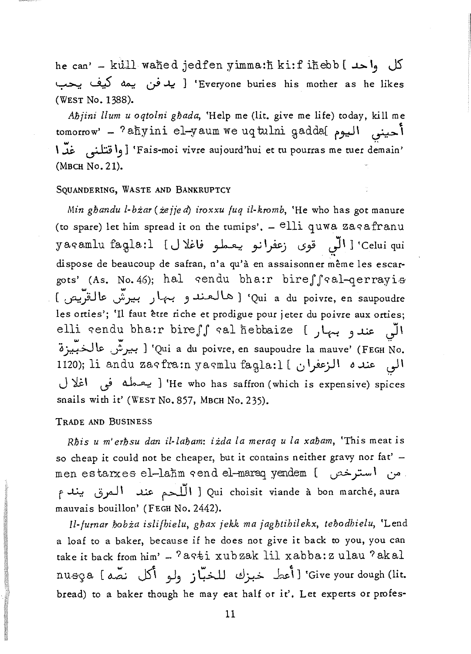he can' - küll waned jedfen yimma:h ki:f ihebb [ ماحد ] Everyone buries his mother as he likes' [ يدفن بحمه كيف بحب (WEST No. 1388).

*Abjini llum u oqtolni gbada,* 'Help me (lit. give me life) today, kill me tomorrow' - ?aħyini el-yaum we uq tulni gadda[ مينى اليوم <sup>I</sup>~ ~ 1-,] 'Fais-moi vivre aujourd'hui et tu pourras me tuer d~main' (MBCH No. 21).

# SOUANDERING, WASTE AND BANKRUPTCY

*Min ghandu l-bżar* (*żejje d*) *iroxxu fuq il-kromb*, 'He who has got manure (to spare) let him spread it on the turnips'.  $-$  elli quwa zagafranu yaqamlu faqla:l [J J اللَّى قوى زعفرانو يعملو فاغلال ] yaqamlu faqla:l dispose de beaucoup de safran, n'a qu'à en assaisonner même les escargots' (As. No. 46); hal cendu bha:r bireffcal-qerrayis Qui a du poivre, en saupoudre) (هالعند وبيهار بيرشّ عالقتّيم) les orties'; 'Il faut être riche et prodigue pour jeter du poivre aux orties; elli qendu bha:r bireS *S* qal nebbaize () ~ -,....I.,&. JI <sup>6</sup>~ \.s:. .; p. ] 'Qui a du poi vre, en saupoudre la mauve' (FEGH 'N o. 1120); li andu zaqfra:n yaqmlu faqla:l [ الى عنده الزعفران J 'i;\ ".j ~) 'He who has saffron (which is expensive) spices snails with *it'* (WEST No. 857, MBCH No. 235).

### TRADE AND BUSINESS

*Rbis u m' erbsu dan il-labam: iida la meraq u la xaliam,* 'This meat is so cheap it could not be cheaper, but it contains neither gravy nor fat' men estarxes el-lahm send el-maraq yendem [  $\sim$  0" **0"** Qui choisit viande à bon marché, aura [ اللّحم عند المرق يندم mauvais bouillon' (FEGH No. 2442).

*ll-/urnar Iiobia islifhielu, gliax jekk ma jaglitihilekx, teliodbielu,* 'Lend a loaf to a baker, because if he does not give *it* back to you, you can take it back from him' -  $?$  aqti xub zak lil xabba: z ulau  $?$  akal nusça [ محمد ) نصّه ) 'Give your dough (lit. bread) to a baker though he may eat half or *it'.* Let experts or profes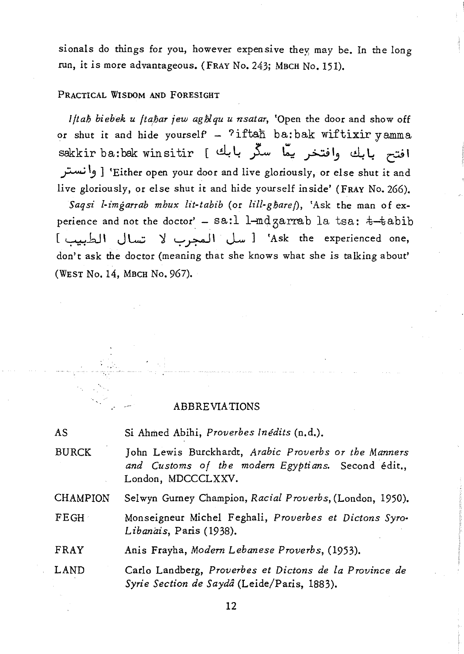sionals do things for you, however expensive they; may be. In the long run, it is more advantageous. (FRAY No. 243; MBCH No. 151).

#### PRACTICAL WISDOM AND FORESIGHT

*Iftab biebek u ftabar jew aghlqu u nsatar*, 'Open the door and show off or shut it and hide yourself' -  $?$ iftah ba:bak wiftixir yamma sakkir ba:bak winsitir [~~ }-- **t:'.: pI)** ~~ C~I ;;..-:. '-' ] 'Either open your door and live gloriously, or else shut it and live gloriously, or else shut it and hide yourself inside' (FRAY No. 266). *Saqsi /-imgarrab mhux lit-tabib* (or *lill-gbarej),* 'Ask the man of experience and not the doctor' - sa:l l-mdzarrab la tsa:  $t$ -tabib [ '-:-':HJ:J I J L..:; ':J ~ ~ I J-w] 'Ask the experienced one, don't ask the doctor (meaning that she knows what she is talking about' (WEST No. 14, MBCH No. 967).

## ABBREVIATIONS

| <b>AS</b>       | Si Ahmed Abihi, Proverbes Inédits (n.d.).                                                                                         |
|-----------------|-----------------------------------------------------------------------------------------------------------------------------------|
| <b>BURCK</b>    | John Lewis Burckhardt, Arabic Proverbs or the Manners<br>and Customs of the modern Egyptians. Second édit.,<br>London, MDCCCLXXV. |
| <b>CHAMPION</b> | Selwyn Gurney Champion, Racial Proverbs, (London, 1950).                                                                          |
| FEGH            | Monseigneur Michel Feghali, Proverbes et Dictons Syro-<br>Libanais, Paris (1938).                                                 |
| FRAY            | Anis Frayha, Modern Lebanese Proverbs, (1953).                                                                                    |
| LAND            | Carlo Landberg, Proverbes et Dictons de la Province de<br>Syrie Section de Saydâ (Leide/Paris, 1883).                             |